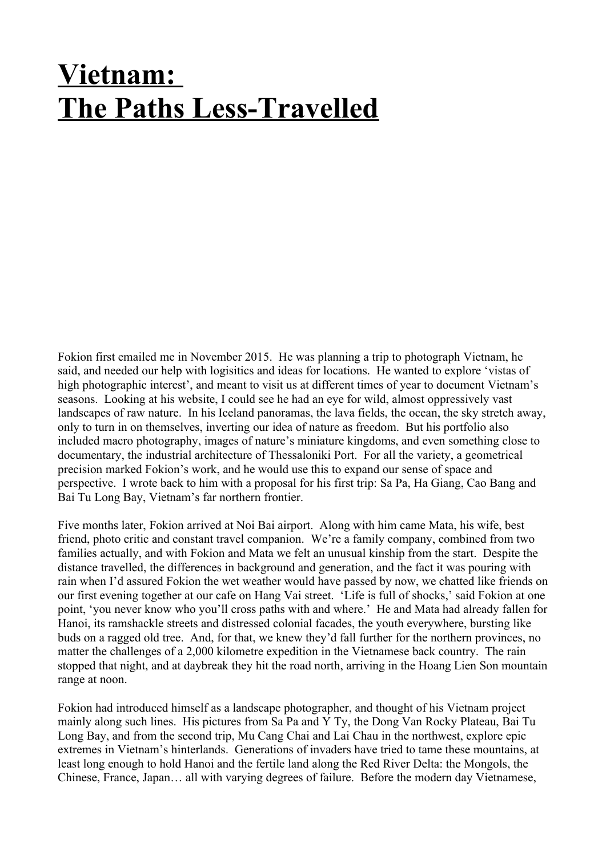## **Vietnam: The Paths Less-Travelled**

Fokion first emailed me in November 2015. He was planning a trip to photograph Vietnam, he said, and needed our help with logisitics and ideas for locations. He wanted to explore 'vistas of high photographic interest', and meant to visit us at different times of year to document Vietnam's seasons. Looking at his website, I could see he had an eye for wild, almost oppressively vast landscapes of raw nature. In his Iceland panoramas, the lava fields, the ocean, the sky stretch away, only to turn in on themselves, inverting our idea of nature as freedom. But his portfolio also included macro photography, images of nature's miniature kingdoms, and even something close to documentary, the industrial architecture of Thessaloniki Port. For all the variety, a geometrical precision marked Fokion's work, and he would use this to expand our sense of space and perspective. I wrote back to him with a proposal for his first trip: Sa Pa, Ha Giang, Cao Bang and Bai Tu Long Bay, Vietnam's far northern frontier.

Five months later, Fokion arrived at Noi Bai airport. Along with him came Mata, his wife, best friend, photo critic and constant travel companion. We're a family company, combined from two families actually, and with Fokion and Mata we felt an unusual kinship from the start. Despite the distance travelled, the differences in background and generation, and the fact it was pouring with rain when I'd assured Fokion the wet weather would have passed by now, we chatted like friends on our first evening together at our cafe on Hang Vai street. 'Life is full of shocks,' said Fokion at one point, 'you never know who you'll cross paths with and where.' He and Mata had already fallen for Hanoi, its ramshackle streets and distressed colonial facades, the youth everywhere, bursting like buds on a ragged old tree. And, for that, we knew they'd fall further for the northern provinces, no matter the challenges of a 2,000 kilometre expedition in the Vietnamese back country. The rain stopped that night, and at daybreak they hit the road north, arriving in the Hoang Lien Son mountain range at noon.

Fokion had introduced himself as a landscape photographer, and thought of his Vietnam project mainly along such lines. His pictures from Sa Pa and Y Ty, the Dong Van Rocky Plateau, Bai Tu Long Bay, and from the second trip, Mu Cang Chai and Lai Chau in the northwest, explore epic extremes in Vietnam's hinterlands. Generations of invaders have tried to tame these mountains, at least long enough to hold Hanoi and the fertile land along the Red River Delta: the Mongols, the Chinese, France, Japan… all with varying degrees of failure. Before the modern day Vietnamese,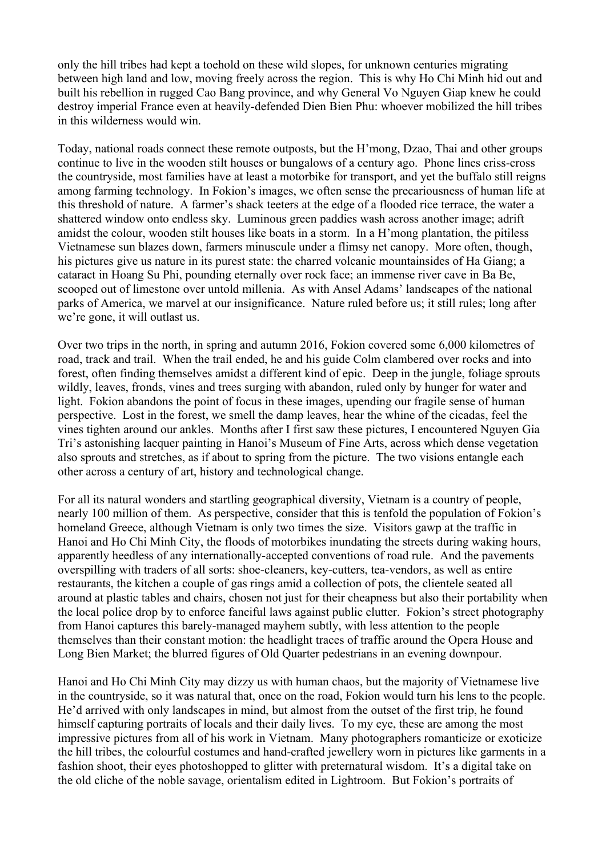only the hill tribes had kept a toehold on these wild slopes, for unknown centuries migrating between high land and low, moving freely across the region. This is why Ho Chi Minh hid out and built his rebellion in rugged Cao Bang province, and why General Vo Nguyen Giap knew he could destroy imperial France even at heavily-defended Dien Bien Phu: whoever mobilized the hill tribes in this wilderness would win.

Today, national roads connect these remote outposts, but the H'mong, Dzao, Thai and other groups continue to live in the wooden stilt houses or bungalows of a century ago. Phone lines criss-cross the countryside, most families have at least a motorbike for transport, and yet the buffalo still reigns among farming technology. In Fokion's images, we often sense the precariousness of human life at this threshold of nature. A farmer's shack teeters at the edge of a flooded rice terrace, the water a shattered window onto endless sky. Luminous green paddies wash across another image; adrift amidst the colour, wooden stilt houses like boats in a storm. In a H'mong plantation, the pitiless Vietnamese sun blazes down, farmers minuscule under a flimsy net canopy. More often, though, his pictures give us nature in its purest state: the charred volcanic mountainsides of Ha Giang; a cataract in Hoang Su Phi, pounding eternally over rock face; an immense river cave in Ba Be, scooped out of limestone over untold millenia. As with Ansel Adams' landscapes of the national parks of America, we marvel at our insignificance. Nature ruled before us; it still rules; long after we're gone, it will outlast us.

Over two trips in the north, in spring and autumn 2016, Fokion covered some 6,000 kilometres of road, track and trail. When the trail ended, he and his guide Colm clambered over rocks and into forest, often finding themselves amidst a different kind of epic. Deep in the jungle, foliage sprouts wildly, leaves, fronds, vines and trees surging with abandon, ruled only by hunger for water and light. Fokion abandons the point of focus in these images, upending our fragile sense of human perspective. Lost in the forest, we smell the damp leaves, hear the whine of the cicadas, feel the vines tighten around our ankles. Months after I first saw these pictures, I encountered Nguyen Gia Tri's astonishing lacquer painting in Hanoi's Museum of Fine Arts, across which dense vegetation also sprouts and stretches, as if about to spring from the picture. The two visions entangle each other across a century of art, history and technological change.

For all its natural wonders and startling geographical diversity, Vietnam is a country of people, nearly 100 million of them. As perspective, consider that this is tenfold the population of Fokion's homeland Greece, although Vietnam is only two times the size. Visitors gawp at the traffic in Hanoi and Ho Chi Minh City, the floods of motorbikes inundating the streets during waking hours, apparently heedless of any internationally-accepted conventions of road rule. And the pavements overspilling with traders of all sorts: shoe-cleaners, key-cutters, tea-vendors, as well as entire restaurants, the kitchen a couple of gas rings amid a collection of pots, the clientele seated all around at plastic tables and chairs, chosen not just for their cheapness but also their portability when the local police drop by to enforce fanciful laws against public clutter. Fokion's street photography from Hanoi captures this barely-managed mayhem subtly, with less attention to the people themselves than their constant motion: the headlight traces of traffic around the Opera House and Long Bien Market; the blurred figures of Old Quarter pedestrians in an evening downpour.

Hanoi and Ho Chi Minh City may dizzy us with human chaos, but the majority of Vietnamese live in the countryside, so it was natural that, once on the road, Fokion would turn his lens to the people. He'd arrived with only landscapes in mind, but almost from the outset of the first trip, he found himself capturing portraits of locals and their daily lives. To my eye, these are among the most impressive pictures from all of his work in Vietnam. Many photographers romanticize or exoticize the hill tribes, the colourful costumes and hand-crafted jewellery worn in pictures like garments in a fashion shoot, their eyes photoshopped to glitter with preternatural wisdom. It's a digital take on the old cliche of the noble savage, orientalism edited in Lightroom. But Fokion's portraits of